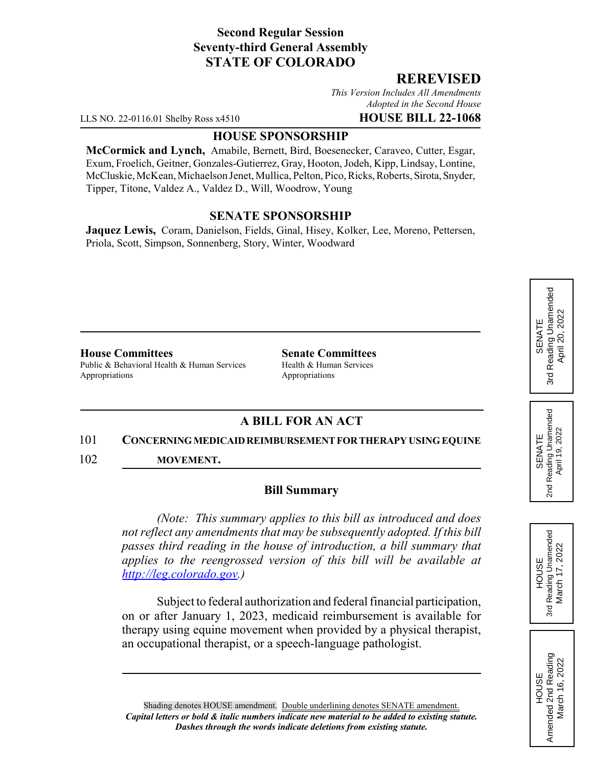# **Second Regular Session Seventy-third General Assembly STATE OF COLORADO**

## **REREVISED**

*This Version Includes All Amendments Adopted in the Second House*

LLS NO. 22-0116.01 Shelby Ross x4510 **HOUSE BILL 22-1068**

#### **HOUSE SPONSORSHIP**

**McCormick and Lynch,** Amabile, Bernett, Bird, Boesenecker, Caraveo, Cutter, Esgar, Exum, Froelich, Geitner, Gonzales-Gutierrez, Gray, Hooton, Jodeh, Kipp, Lindsay, Lontine, McCluskie, McKean, Michaelson Jenet, Mullica, Pelton, Pico, Ricks, Roberts, Sirota, Snyder, Tipper, Titone, Valdez A., Valdez D., Will, Woodrow, Young

### **SENATE SPONSORSHIP**

**Jaquez Lewis,** Coram, Danielson, Fields, Ginal, Hisey, Kolker, Lee, Moreno, Pettersen, Priola, Scott, Simpson, Sonnenberg, Story, Winter, Woodward

### **House Committees Senate Committees**

Public & Behavioral Health & Human Services Health & Human Services Appropriations Appropriations

# **A BILL FOR AN ACT**

#### 101 **CONCERNING MEDICAID REIMBURSEMENT FOR THERAPY USING EQUINE**

102 **MOVEMENT.**

#### **Bill Summary**

*(Note: This summary applies to this bill as introduced and does not reflect any amendments that may be subsequently adopted. If this bill passes third reading in the house of introduction, a bill summary that applies to the reengrossed version of this bill will be available at http://leg.colorado.gov.)*

Subject to federal authorization and federal financial participation, on or after January 1, 2023, medicaid reimbursement is available for therapy using equine movement when provided by a physical therapist, an occupational therapist, or a speech-language pathologist.

Shading denotes HOUSE amendment. Double underlining denotes SENATE amendment. *Capital letters or bold & italic numbers indicate new material to be added to existing statute. Dashes through the words indicate deletions from existing statute.*

Reading Unamended 3rd Reading Unamended April 20, 2022 April 20, 2022 SENATE 3rd

SENATE 2nd Reading Unamended April 19, 2022

2nd Reading Unamended<br>April 19, 2022

**HOUSE** 3rd Reading Unamended March 17, 2022

Reading Unamended March 17, 2022

3rd

HOUSE Amended 2nd Reading March 16, 2022

Amended 2nd Reading March 16, 2022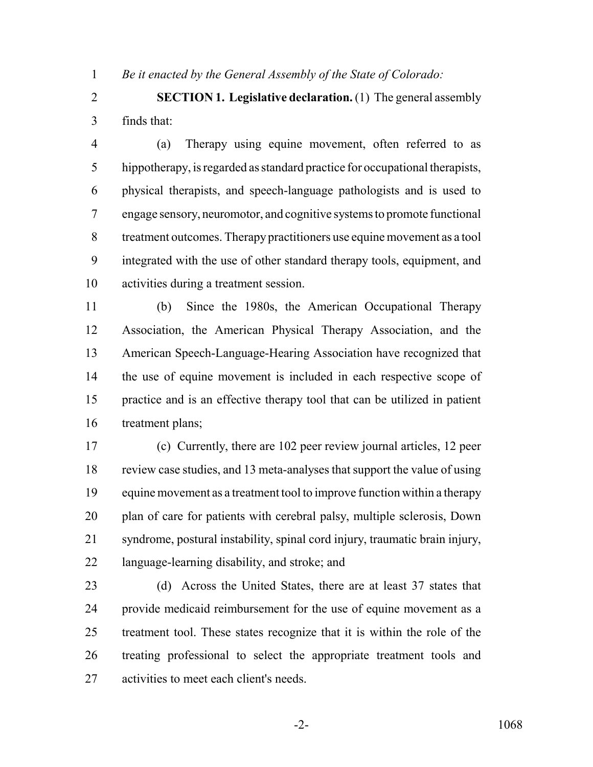*Be it enacted by the General Assembly of the State of Colorado:*

 **SECTION 1. Legislative declaration.** (1) The general assembly finds that:

 (a) Therapy using equine movement, often referred to as hippotherapy, is regarded as standard practice for occupational therapists, physical therapists, and speech-language pathologists and is used to engage sensory, neuromotor, and cognitive systems to promote functional treatment outcomes. Therapy practitioners use equine movement as a tool integrated with the use of other standard therapy tools, equipment, and activities during a treatment session.

 (b) Since the 1980s, the American Occupational Therapy Association, the American Physical Therapy Association, and the American Speech-Language-Hearing Association have recognized that the use of equine movement is included in each respective scope of practice and is an effective therapy tool that can be utilized in patient treatment plans;

 (c) Currently, there are 102 peer review journal articles, 12 peer review case studies, and 13 meta-analyses that support the value of using equine movement as a treatment tool to improve function within a therapy plan of care for patients with cerebral palsy, multiple sclerosis, Down syndrome, postural instability, spinal cord injury, traumatic brain injury, language-learning disability, and stroke; and

 (d) Across the United States, there are at least 37 states that provide medicaid reimbursement for the use of equine movement as a treatment tool. These states recognize that it is within the role of the treating professional to select the appropriate treatment tools and activities to meet each client's needs.